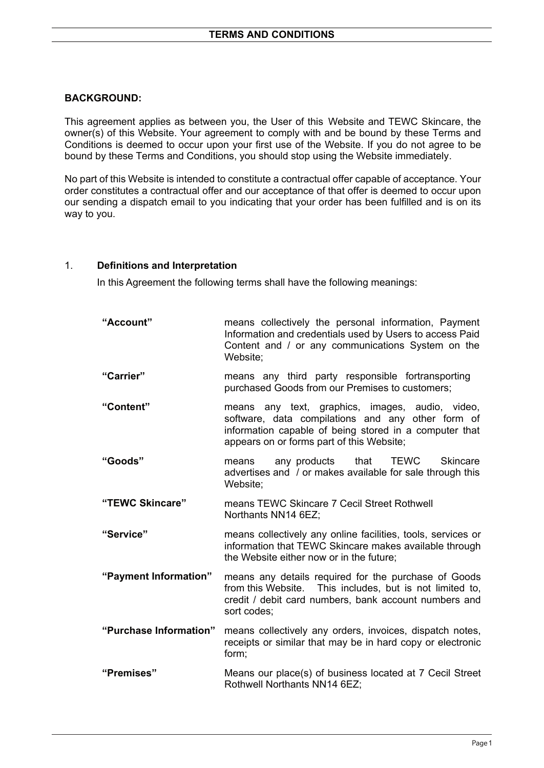## **BACKGROUND:**

This agreement applies as between you, the User of this Website and TEWC Skincare, the owner(s) of this Website. Your agreement to comply with and be bound by these Terms and Conditions is deemed to occur upon your first use of the Website. If you do not agree to be bound by these Terms and Conditions, you should stop using the Website immediately.

No part of this Website is intended to constitute a contractual offer capable of acceptance. Your order constitutes a contractual offer and our acceptance of that offer is deemed to occur upon our sending a dispatch email to you indicating that your order has been fulfilled and is on its way to you.

#### 1. **Definitions and Interpretation**

In this Agreement the following terms shall have the following meanings:

| "Account"              | means collectively the personal information, Payment<br>Information and credentials used by Users to access Paid<br>Content and / or any communications System on the<br>Website:                           |
|------------------------|-------------------------------------------------------------------------------------------------------------------------------------------------------------------------------------------------------------|
| "Carrier"              | means any third party responsible fortransporting<br>purchased Goods from our Premises to customers;                                                                                                        |
| "Content"              | means any text, graphics, images, audio, video,<br>software, data compilations and any other form of<br>information capable of being stored in a computer that<br>appears on or forms part of this Website; |
| "Goods"                | that TEWC<br>any products<br><b>Skincare</b><br>means<br>advertises and / or makes available for sale through this<br>Website;                                                                              |
| "TEWC Skincare"        | means TEWC Skincare 7 Cecil Street Rothwell<br>Northants NN14 6EZ;                                                                                                                                          |
| "Service"              | means collectively any online facilities, tools, services or<br>information that TEWC Skincare makes available through<br>the Website either now or in the future;                                          |
| "Payment Information"  | means any details required for the purchase of Goods<br>from this Website. This includes, but is not limited to,<br>credit / debit card numbers, bank account numbers and<br>sort codes;                    |
| "Purchase Information" | means collectively any orders, invoices, dispatch notes,<br>receipts or similar that may be in hard copy or electronic<br>form;                                                                             |
| "Premises"             | Means our place(s) of business located at 7 Cecil Street<br>Rothwell Northants NN14 6EZ;                                                                                                                    |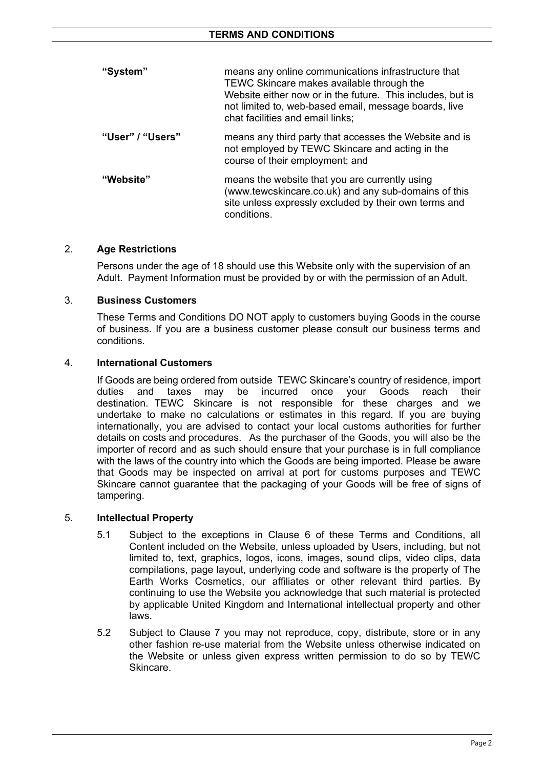| "System"         | means any online communications infrastructure that<br>TEWC Skincare makes available through the<br>Website either now or in the future. This includes, but is<br>not limited to, web-based email, message boards, live<br>chat facilities and email links; |
|------------------|-------------------------------------------------------------------------------------------------------------------------------------------------------------------------------------------------------------------------------------------------------------|
| "User" / "Users" | means any third party that accesses the Website and is<br>not employed by TEWC Skincare and acting in the<br>course of their employment; and                                                                                                                |
| "Website"        | means the website that you are currently using<br>(www.tewcskincare.co.uk) and any sub-domains of this<br>site unless expressly excluded by their own terms and<br>conditions.                                                                              |

# 2. **Age Restrictions**

Persons under the age of 18 should use this Website only with the supervision of an Adult. Payment Information must be provided by or with the permission of an Adult.

### 3. **Business Customers**

These Terms and Conditions DO NOT apply to customers buying Goods in the course of business. If you are a business customer please consult our business terms and conditions.

### 4. **International Customers**

If Goods are being ordered from outside TEWC Skincare's country of residence, import duties and taxes may be incurred once your Goods reach their destination. TEWC Skincare is not responsible for these charges and we undertake to make no calculations or estimates in this regard. If you are buying internationally, you are advised to contact your local customs authorities for further details on costs and procedures. As the purchaser of the Goods, you will also be the importer of record and as such should ensure that your purchase is in full compliance with the laws of the country into which the Goods are being imported. Please be aware that Goods may be inspected on arrival at port for customs purposes and TEWC Skincare cannot guarantee that the packaging of your Goods will be free of signs of tampering.

### 5. **Intellectual Property**

- 5.1 Subject to the exceptions in Clause 6 of these Terms and Conditions, all Content included on the Website, unless uploaded by Users, including, but not limited to, text, graphics, logos, icons, images, sound clips, video clips, data compilations, page layout, underlying code and software is the property of The Earth Works Cosmetics, our affiliates or other relevant third parties. By continuing to use the Website you acknowledge that such material is protected by applicable United Kingdom and International intellectual property and other laws.
- 5.2 Subject to Clause 7 you may not reproduce, copy, distribute, store or in any other fashion re-use material from the Website unless otherwise indicated on the Website or unless given express written permission to do so by TEWC Skincare.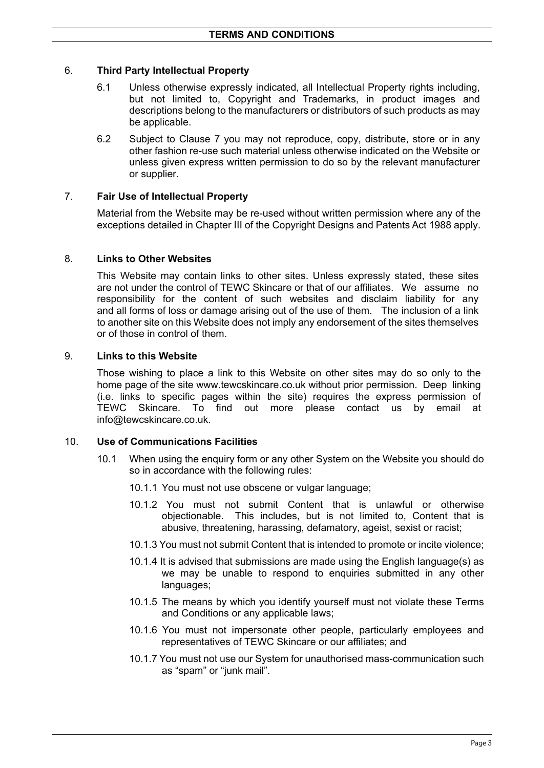# 6. **Third Party Intellectual Property**

- 6.1 Unless otherwise expressly indicated, all Intellectual Property rights including, but not limited to, Copyright and Trademarks, in product images and descriptions belong to the manufacturers or distributors of such products as may be applicable.
- 6.2 Subject to Clause 7 you may not reproduce, copy, distribute, store or in any other fashion re-use such material unless otherwise indicated on the Website or unless given express written permission to do so by the relevant manufacturer or supplier.

# 7. **Fair Use of Intellectual Property**

Material from the Website may be re-used without written permission where any of the exceptions detailed in Chapter III of the Copyright Designs and Patents Act 1988 apply.

### 8. **Links to Other Websites**

This Website may contain links to other sites. Unless expressly stated, these sites are not under the control of TEWC Skincare or that of our affiliates. We assume no responsibility for the content of such websites and disclaim liability for any and all forms of loss or damage arising out of the use of them. The inclusion of a link to another site on this Website does not imply any endorsement of the sites themselves or of those in control of them.

### 9. **Links to this Website**

Those wishing to place a link to this Website on other sites may do so only to the home page of the site www.tewcskincare.co.uk without prior permission. Deep linking (i.e. links to specific pages within the site) requires the express permission of TEWC Skincare. To find out more please contact us by email at info@tewcskincare.co.uk.

### 10. **Use of Communications Facilities**

- 10.1 When using the enquiry form or any other System on the Website you should do so in accordance with the following rules:
	- 10.1.1 You must not use obscene or vulgar language;
	- 10.1.2 You must not submit Content that is unlawful or otherwise objectionable. This includes, but is not limited to, Content that is abusive, threatening, harassing, defamatory, ageist, sexist or racist;
	- 10.1.3 You must not submit Content that is intended to promote or incite violence;
	- 10.1.4 It is advised that submissions are made using the English language(s) as we may be unable to respond to enquiries submitted in any other languages:
	- 10.1.5 The means by which you identify yourself must not violate these Terms and Conditions or any applicable laws;
	- 10.1.6 You must not impersonate other people, particularly employees and representatives of TEWC Skincare or our affiliates; and
	- 10.1.7 You must not use our System for unauthorised mass-communication such as "spam" or "junk mail".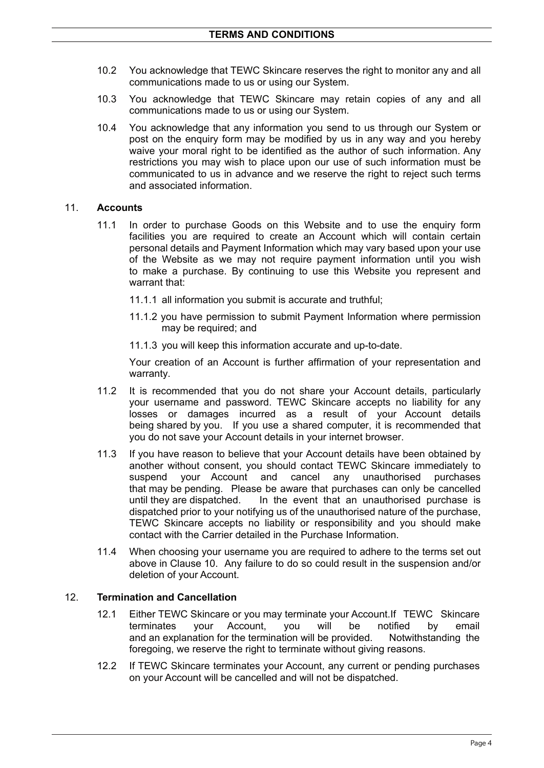- 10.2 You acknowledge that TEWC Skincare reserves the right to monitor any and all communications made to us or using our System.
- 10.3 You acknowledge that TEWC Skincare may retain copies of any and all communications made to us or using our System.
- 10.4 You acknowledge that any information you send to us through our System or post on the enquiry form may be modified by us in any way and you hereby waive your moral right to be identified as the author of such information. Any restrictions you may wish to place upon our use of such information must be communicated to us in advance and we reserve the right to reject such terms and associated information.

#### 11. **Accounts**

- 11.1 In order to purchase Goods on this Website and to use the enquiry form facilities you are required to create an Account which will contain certain personal details and Payment Information which may vary based upon your use of the Website as we may not require payment information until you wish to make a purchase. By continuing to use this Website you represent and warrant that:
	- 11.1.1 all information you submit is accurate and truthful;
	- 11.1.2 you have permission to submit Payment Information where permission may be required; and
	- 11.1.3 you will keep this information accurate and up-to-date.

Your creation of an Account is further affirmation of your representation and warranty.

- 11.2 It is recommended that you do not share your Account details, particularly your username and password. TEWC Skincare accepts no liability for any losses or damages incurred as a result of your Account details being shared by you. If you use a shared computer, it is recommended that you do not save your Account details in your internet browser.
- 11.3 If you have reason to believe that your Account details have been obtained by another without consent, you should contact TEWC Skincare immediately to suspend your Account and cancel any unauthorised purchases that may be pending. Please be aware that purchases can only be cancelled until they are dispatched. In the event that an unauthorised purchase is dispatched prior to your notifying us of the unauthorised nature of the purchase, TEWC Skincare accepts no liability or responsibility and you should make contact with the Carrier detailed in the Purchase Information.
- 11.4 When choosing your username you are required to adhere to the terms set out above in Clause 10. Any failure to do so could result in the suspension and/or deletion of your Account.

## 12. **Termination and Cancellation**

- 12.1 Either TEWC Skincare or you may terminate your Account.If TEWC Skincare terminates your Account, you will be notified by email and an explanation for the termination will be provided. Notwithstanding the foregoing, we reserve the right to terminate without giving reasons.
- 12.2 If TEWC Skincare terminates your Account, any current or pending purchases on your Account will be cancelled and will not be dispatched.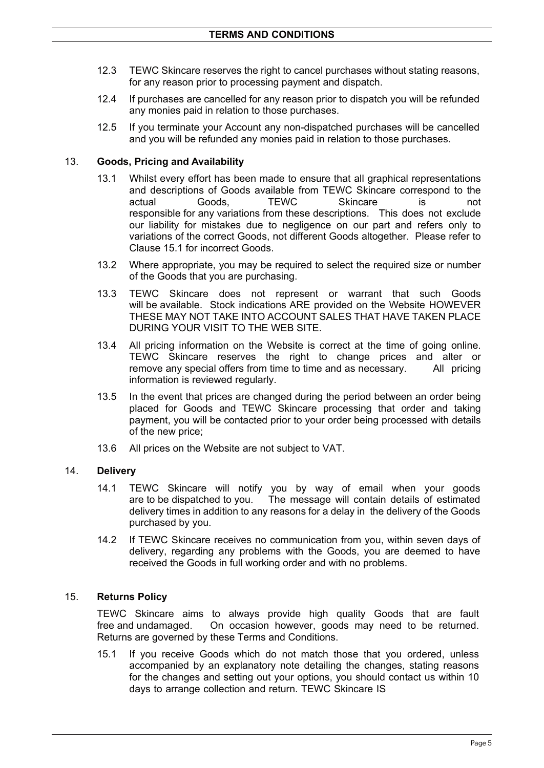- 12.3 TEWC Skincare reserves the right to cancel purchases without stating reasons, for any reason prior to processing payment and dispatch.
- 12.4 If purchases are cancelled for any reason prior to dispatch you will be refunded any monies paid in relation to those purchases.
- 12.5 If you terminate your Account any non-dispatched purchases will be cancelled and you will be refunded any monies paid in relation to those purchases.

#### 13. **Goods, Pricing and Availability**

- 13.1 Whilst every effort has been made to ensure that all graphical representations and descriptions of Goods available from TEWC Skincare correspond to the actual Goods, TEWC Skincare is not responsible for any variations from these descriptions. This does not exclude our liability for mistakes due to negligence on our part and refers only to variations of the correct Goods, not different Goods altogether. Please refer to Clause 15.1 for incorrect Goods.
- 13.2 Where appropriate, you may be required to select the required size or number of the Goods that you are purchasing.
- 13.3 TEWC Skincare does not represent or warrant that such Goods will be available. Stock indications ARE provided on the Website HOWEVER THESE MAY NOT TAKE INTO ACCOUNT SALES THAT HAVE TAKEN PLACE DURING YOUR VISIT TO THE WEB SITE.
- 13.4 All pricing information on the Website is correct at the time of going online. TEWC Skincare reserves the right to change prices and alter or remove any special offers from time to time and as necessary. All pricing information is reviewed regularly.
- 13.5 In the event that prices are changed during the period between an order being placed for Goods and TEWC Skincare processing that order and taking payment, you will be contacted prior to your order being processed with details of the new price;
- 13.6 All prices on the Website are not subject to VAT.

### 14. **Delivery**

- 14.1 TEWC Skincare will notify you by way of email when your goods are to be dispatched to you. The message will contain details of estimated delivery times in addition to any reasons for a delay in the delivery of the Goods purchased by you.
- 14.2 If TEWC Skincare receives no communication from you, within seven days of delivery, regarding any problems with the Goods, you are deemed to have received the Goods in full working order and with no problems.

### 15. **Returns Policy**

TEWC Skincare aims to always provide high quality Goods that are fault free and undamaged. On occasion however, goods may need to be returned. Returns are governed by these Terms and Conditions.

15.1 If you receive Goods which do not match those that you ordered, unless accompanied by an explanatory note detailing the changes, stating reasons for the changes and setting out your options, you should contact us within 10 days to arrange collection and return. TEWC Skincare IS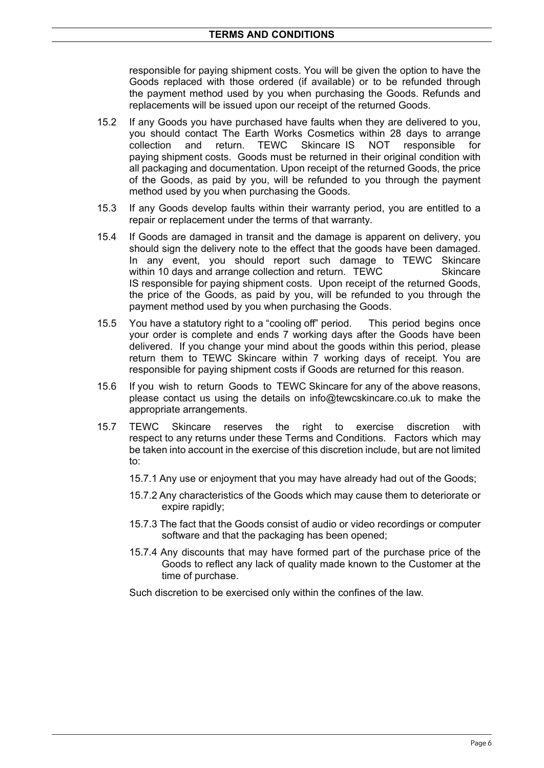responsible for paying shipment costs. You will be given the option to have the Goods replaced with those ordered (if available) or to be refunded through the payment method used by you when purchasing the Goods. Refunds and replacements will be issued upon our receipt of the returned Goods.

- 15.2 If any Goods you have purchased have faults when they are delivered to you, you should contact The Earth Works Cosmetics within 28 days to arrange collection and return. TEWC Skincare IS NOT responsible for collection and return. TEWC Skincare IS NOT responsible for paying shipment costs. Goods must be returned in their original condition with all packaging and documentation. Upon receipt of the returned Goods, the price of the Goods, as paid by you, will be refunded to you through the payment method used by you when purchasing the Goods.
- 15.3 If any Goods develop faults within their warranty period, you are entitled to a repair or replacement under the terms of that warranty.
- 15.4 If Goods are damaged in transit and the damage is apparent on delivery, you should sign the delivery note to the effect that the goods have been damaged. In any event, you should report such damage to TEWC Skincare within 10 days and arrange collection and return. TEWC Skincare IS responsible for paying shipment costs. Upon receipt of the returned Goods, the price of the Goods, as paid by you, will be refunded to you through the payment method used by you when purchasing the Goods.
- 15.5 You have a statutory right to a "cooling off" period. This period begins once your order is complete and ends 7 working days after the Goods have been delivered. If you change your mind about the goods within this period, please return them to TEWC Skincare within 7 working days of receipt. You are responsible for paying shipment costs if Goods are returned for this reason.
- 15.6 If you wish to return Goods to TEWC Skincare for any of the above reasons, please contact us using the details on info@tewcskincare.co.uk to make the appropriate arrangements.
- 15.7 TEWC Skincare reserves the right to exercise discretion with respect to any returns under these Terms and Conditions. Factors which may be taken into account in the exercise of this discretion include, but are not limited to:
	- 15.7.1 Any use or enjoyment that you may have already had out of the Goods;
	- 15.7.2 Any characteristics of the Goods which may cause them to deteriorate or expire rapidly;
	- 15.7.3 The fact that the Goods consist of audio or video recordings or computer software and that the packaging has been opened;
	- 15.7.4 Any discounts that may have formed part of the purchase price of the Goods to reflect any lack of quality made known to the Customer at the time of purchase.

Such discretion to be exercised only within the confines of the law.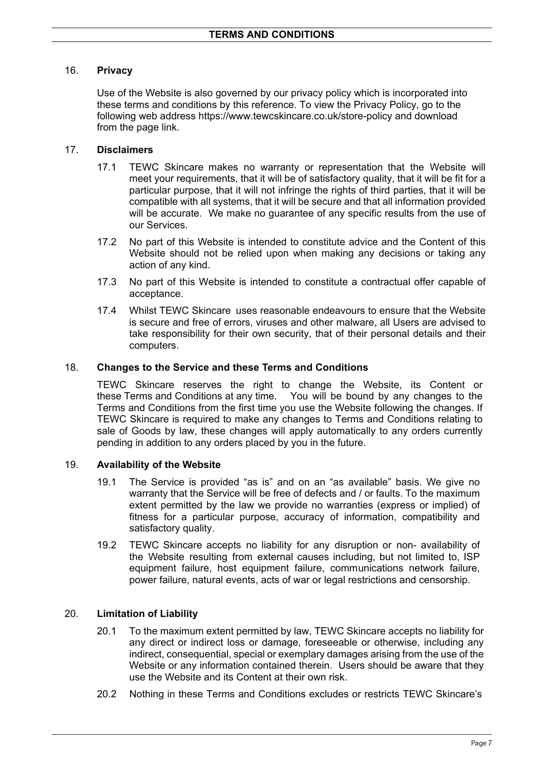# 16. **Privacy**

Use of the Website is also governed by our privacy policy which is incorporated into these terms and conditions by this reference. To view the Privacy Policy, go to the following web address https://www.tewcskincare.co.uk/store-policy and download from the page link.

# 17. **Disclaimers**

- 17.1 TEWC Skincare makes no warranty or representation that the Website will meet your requirements, that it will be of satisfactory quality, that it will be fit for a particular purpose, that it will not infringe the rights of third parties, that it will be compatible with all systems, that it will be secure and that all information provided will be accurate. We make no guarantee of any specific results from the use of our Services.
- 17.2 No part of this Website is intended to constitute advice and the Content of this Website should not be relied upon when making any decisions or taking any action of any kind.
- 17.3 No part of this Website is intended to constitute a contractual offer capable of acceptance.
- 17.4 Whilst TEWC Skincare uses reasonable endeavours to ensure that the Website is secure and free of errors, viruses and other malware, all Users are advised to take responsibility for their own security, that of their personal details and their computers.

### 18. **Changes to the Service and these Terms and Conditions**

TEWC Skincare reserves the right to change the Website, its Content or these Terms and Conditions at any time. You will be bound by any changes to the Terms and Conditions from the first time you use the Website following the changes. If TEWC Skincare is required to make any changes to Terms and Conditions relating to sale of Goods by law, these changes will apply automatically to any orders currently pending in addition to any orders placed by you in the future.

### 19. **Availability of the Website**

- 19.1 The Service is provided "as is" and on an "as available" basis. We give no warranty that the Service will be free of defects and / or faults. To the maximum extent permitted by the law we provide no warranties (express or implied) of fitness for a particular purpose, accuracy of information, compatibility and satisfactory quality.
- 19.2 TEWC Skincare accepts no liability for any disruption or non- availability of the Website resulting from external causes including, but not limited to, ISP equipment failure, host equipment failure, communications network failure, power failure, natural events, acts of war or legal restrictions and censorship.

# 20. **Limitation of Liability**

- 20.1 To the maximum extent permitted by law, TEWC Skincare accepts no liability for any direct or indirect loss or damage, foreseeable or otherwise, including any indirect, consequential, special or exemplary damages arising from the use of the Website or any information contained therein. Users should be aware that they use the Website and its Content at their own risk.
- 20.2 Nothing in these Terms and Conditions excludes or restricts TEWC Skincare's